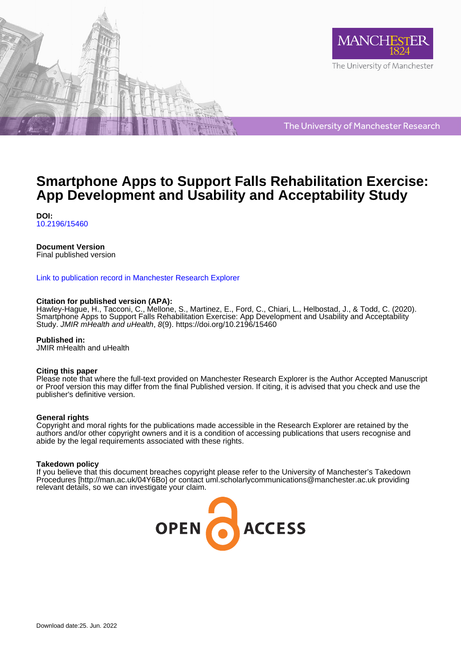



The University of Manchester Research

# **Smartphone Apps to Support Falls Rehabilitation Exercise: App Development and Usability and Acceptability Study**

**DOI:** [10.2196/15460](https://doi.org/10.2196/15460)

#### **Document Version**

Final published version

#### [Link to publication record in Manchester Research Explorer](https://www.research.manchester.ac.uk/portal/en/publications/smartphone-apps-to-support-falls-rehabilitation-exercise-app-development-and-usability-and-acceptability-study(cfe4d3a4-8972-404e-9cd7-40b9808869c8).html)

#### **Citation for published version (APA):**

[Hawley-Hague, H.](/portal/helen.hawley-hague.html), Tacconi, C., Mellone, S., Martinez, E., Ford, C., Chiari, L., Helbostad, J.[, & Todd, C.](/portal/chris.todd.html) (2020). [Smartphone Apps to Support Falls Rehabilitation Exercise: App Development and Usability and Acceptability](https://www.research.manchester.ac.uk/portal/en/publications/smartphone-apps-to-support-falls-rehabilitation-exercise-app-development-and-usability-and-acceptability-study(cfe4d3a4-8972-404e-9cd7-40b9808869c8).html) [Study.](https://www.research.manchester.ac.uk/portal/en/publications/smartphone-apps-to-support-falls-rehabilitation-exercise-app-development-and-usability-and-acceptability-study(cfe4d3a4-8972-404e-9cd7-40b9808869c8).html) JMIR mHealth and uHealth, 8(9).<https://doi.org/10.2196/15460>

**Published in:**

JMIR mHealth and uHealth

#### **Citing this paper**

Please note that where the full-text provided on Manchester Research Explorer is the Author Accepted Manuscript or Proof version this may differ from the final Published version. If citing, it is advised that you check and use the publisher's definitive version.

#### **General rights**

Copyright and moral rights for the publications made accessible in the Research Explorer are retained by the authors and/or other copyright owners and it is a condition of accessing publications that users recognise and abide by the legal requirements associated with these rights.

#### **Takedown policy**

If you believe that this document breaches copyright please refer to the University of Manchester's Takedown Procedures [http://man.ac.uk/04Y6Bo] or contact uml.scholarlycommunications@manchester.ac.uk providing relevant details, so we can investigate your claim.

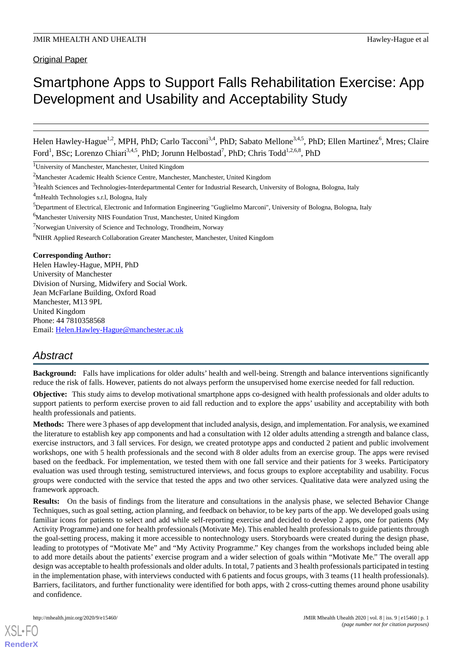# Smartphone Apps to Support Falls Rehabilitation Exercise: App Development and Usability and Acceptability Study

Helen Hawley-Hague<sup>1,2</sup>, MPH, PhD; Carlo Tacconi<sup>3,4</sup>, PhD; Sabato Mellone<sup>3,4,5</sup>, PhD; Ellen Martinez<sup>6</sup>, Mres; Claire Ford<sup>1</sup>, BSc; Lorenzo Chiari<sup>3,4,5</sup>, PhD; Jorunn Helbostad<sup>7</sup>, PhD; Chris Todd<sup>1,2,6,8</sup>, PhD

<sup>1</sup>University of Manchester, Manchester, United Kingdom

<sup>4</sup>mHealth Technologies s.r.l, Bologna, Italy

<sup>6</sup>Manchester University NHS Foundation Trust, Manchester, United Kingdom

<sup>7</sup>Norwegian University of Science and Technology, Trondheim, Norway

<sup>8</sup>NIHR Applied Research Collaboration Greater Manchester, Manchester, United Kingdom

#### **Corresponding Author:**

Helen Hawley-Hague, MPH, PhD University of Manchester Division of Nursing, Midwifery and Social Work. Jean McFarlane Building, Oxford Road Manchester, M13 9PL United Kingdom Phone: 44 7810358568 Email: [Helen.Hawley-Hague@manchester.ac.uk](mailto:Helen.Hawley-Hague@manchester.ac.uk)

# *Abstract*

**Background:** Falls have implications for older adults' health and well-being. Strength and balance interventions significantly reduce the risk of falls. However, patients do not always perform the unsupervised home exercise needed for fall reduction.

**Objective:** This study aims to develop motivational smartphone apps co-designed with health professionals and older adults to support patients to perform exercise proven to aid fall reduction and to explore the apps' usability and acceptability with both health professionals and patients.

**Methods:** There were 3 phases of app development that included analysis, design, and implementation. For analysis, we examined the literature to establish key app components and had a consultation with 12 older adults attending a strength and balance class, exercise instructors, and 3 fall services. For design, we created prototype apps and conducted 2 patient and public involvement workshops, one with 5 health professionals and the second with 8 older adults from an exercise group. The apps were revised based on the feedback. For implementation, we tested them with one fall service and their patients for 3 weeks. Participatory evaluation was used through testing, semistructured interviews, and focus groups to explore acceptability and usability. Focus groups were conducted with the service that tested the apps and two other services. Qualitative data were analyzed using the framework approach.

**Results:** On the basis of findings from the literature and consultations in the analysis phase, we selected Behavior Change Techniques, such as goal setting, action planning, and feedback on behavior, to be key parts of the app. We developed goals using familiar icons for patients to select and add while self-reporting exercise and decided to develop 2 apps, one for patients (My Activity Programme) and one for health professionals (Motivate Me). This enabled health professionals to guide patients through the goal-setting process, making it more accessible to nontechnology users. Storyboards were created during the design phase, leading to prototypes of "Motivate Me" and "My Activity Programme." Key changes from the workshops included being able to add more details about the patients' exercise program and a wider selection of goals within "Motivate Me." The overall app design was acceptable to health professionals and older adults. In total, 7 patients and 3 health professionals participated in testing in the implementation phase, with interviews conducted with 6 patients and focus groups, with 3 teams (11 health professionals). Barriers, facilitators, and further functionality were identified for both apps, with 2 cross-cutting themes around phone usability and confidence.

<sup>2</sup>Manchester Academic Health Science Centre, Manchester, Manchester, United Kingdom

<sup>&</sup>lt;sup>3</sup>Health Sciences and Technologies-Interdepartmental Center for Industrial Research, University of Bologna, Bologna, Italy

<sup>5</sup>Department of Electrical, Electronic and Information Engineering "Guglielmo Marconi", University of Bologna, Bologna, Italy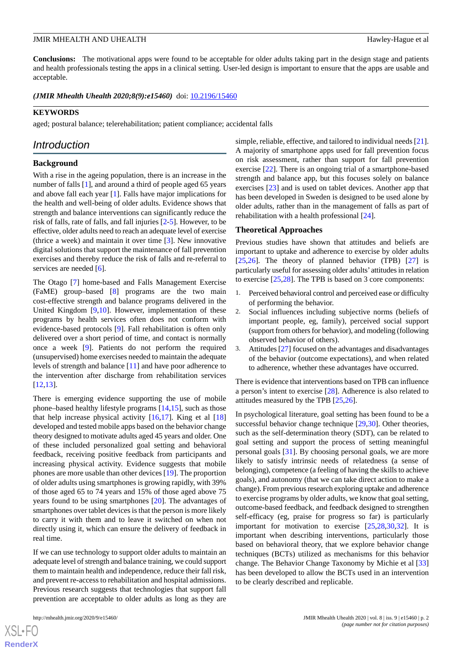**Conclusions:** The motivational apps were found to be acceptable for older adults taking part in the design stage and patients and health professionals testing the apps in a clinical setting. User-led design is important to ensure that the apps are usable and acceptable.

*(JMIR Mhealth Uhealth 2020;8(9):e15460)* doi: **10.2196/15460** 

#### **KEYWORDS**

aged; postural balance; telerehabilitation; patient compliance; accidental falls

# *Introduction*

#### **Background**

With a rise in the ageing population, there is an increase in the number of falls [[1\]](#page-11-0), and around a third of people aged 65 years and above fall each year [[1\]](#page-11-0). Falls have major implications for the health and well-being of older adults. Evidence shows that strength and balance interventions can significantly reduce the risk of falls, rate of falls, and fall injuries [\[2](#page-11-1)-[5\]](#page-11-2). However, to be effective, older adults need to reach an adequate level of exercise (thrice a week) and maintain it over time [[3\]](#page-11-3). New innovative digital solutions that support the maintenance of fall prevention exercises and thereby reduce the risk of falls and re-referral to services are needed [\[6](#page-11-4)].

The Otago [\[7](#page-11-5)] home-based and Falls Management Exercise (FaME) group–based [[8\]](#page-11-6) programs are the two main cost-effective strength and balance programs delivered in the United Kingdom [\[9](#page-11-7),[10\]](#page-11-8). However, implementation of these programs by health services often does not conform with evidence-based protocols [[9\]](#page-11-7). Fall rehabilitation is often only delivered over a short period of time, and contact is normally once a week [[9\]](#page-11-7). Patients do not perform the required (unsupervised) home exercises needed to maintain the adequate levels of strength and balance [\[11](#page-11-9)] and have poor adherence to the intervention after discharge from rehabilitation services [[12](#page-12-0)[,13](#page-12-1)].

There is emerging evidence supporting the use of mobile phone–based healthy lifestyle programs [[14](#page-12-2)[,15](#page-12-3)], such as those that help increase physical activity  $[16,17]$  $[16,17]$  $[16,17]$ . King et al  $[18]$  $[18]$ developed and tested mobile apps based on the behavior change theory designed to motivate adults aged 45 years and older. One of these included personalized goal setting and behavioral feedback, receiving positive feedback from participants and increasing physical activity. Evidence suggests that mobile phones are more usable than other devices [\[19](#page-12-7)]. The proportion of older adults using smartphones is growing rapidly, with 39% of those aged 65 to 74 years and 15% of those aged above 75 years found to be using smartphones [\[20](#page-12-8)]. The advantages of smartphones over tablet devices is that the person is more likely to carry it with them and to leave it switched on when not directly using it, which can ensure the delivery of feedback in real time.

If we can use technology to support older adults to maintain an adequate level of strength and balance training, we could support them to maintain health and independence, reduce their fall risk, and prevent re-access to rehabilitation and hospital admissions. Previous research suggests that technologies that support fall prevention are acceptable to older adults as long as they are

 $XS$  • FO **[RenderX](http://www.renderx.com/)** simple, reliable, effective, and tailored to individual needs [[21\]](#page-12-9). A majority of smartphone apps used for fall prevention focus on risk assessment, rather than support for fall prevention exercise [\[22](#page-12-10)]. There is an ongoing trial of a smartphone-based strength and balance app, but this focuses solely on balance exercises [\[23](#page-12-11)] and is used on tablet devices. Another app that has been developed in Sweden is designed to be used alone by older adults, rather than in the management of falls as part of rehabilitation with a health professional [\[24](#page-12-12)].

#### **Theoretical Approaches**

Previous studies have shown that attitudes and beliefs are important to uptake and adherence to exercise by older adults  $[25,26]$  $[25,26]$  $[25,26]$ . The theory of planned behavior (TPB)  $[27]$  $[27]$  is particularly useful for assessing older adults' attitudes in relation to exercise [\[25](#page-12-13),[28\]](#page-12-16). The TPB is based on 3 core components:

- 1. Perceived behavioral control and perceived ease or difficulty of performing the behavior.
- 2. Social influences including subjective norms (beliefs of important people, eg, family), perceived social support (support from others for behavior), and modeling (following observed behavior of others).
- 3. Attitudes [\[27\]](#page-12-15) focused on the advantages and disadvantages of the behavior (outcome expectations), and when related to adherence, whether these advantages have occurred.

There is evidence that interventions based on TPB can influence a person's intent to exercise [[28\]](#page-12-16). Adherence is also related to attitudes measured by the TPB [\[25](#page-12-13),[26\]](#page-12-14).

In psychological literature, goal setting has been found to be a successful behavior change technique [[29,](#page-12-17)[30](#page-12-18)]. Other theories, such as the self-determination theory (SDT), can be related to goal setting and support the process of setting meaningful personal goals [[31\]](#page-12-19). By choosing personal goals, we are more likely to satisfy intrinsic needs of relatedness (a sense of belonging), competence (a feeling of having the skills to achieve goals), and autonomy (that we can take direct action to make a change). From previous research exploring uptake and adherence to exercise programs by older adults, we know that goal setting, outcome-based feedback, and feedback designed to strengthen self-efficacy (eg, praise for progress so far) is particularly important for motivation to exercise [[25,](#page-12-13)[28](#page-12-16)[,30](#page-12-18),[32\]](#page-12-20). It is important when describing interventions, particularly those based on behavioral theory, that we explore behavior change techniques (BCTs) utilized as mechanisms for this behavior change. The Behavior Change Taxonomy by Michie et al [\[33](#page-12-21)] has been developed to allow the BCTs used in an intervention to be clearly described and replicable.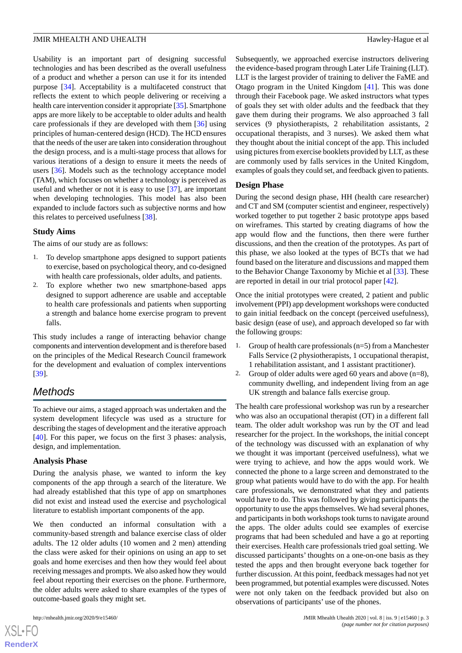Usability is an important part of designing successful technologies and has been described as the overall usefulness of a product and whether a person can use it for its intended purpose [\[34](#page-13-0)]. Acceptability is a multifaceted construct that reflects the extent to which people delivering or receiving a health care intervention consider it appropriate [\[35\]](#page-13-1). Smartphone apps are more likely to be acceptable to older adults and health care professionals if they are developed with them [[36\]](#page-13-2) using principles of human-centered design (HCD). The HCD ensures that the needs of the user are taken into consideration throughout the design process, and is a multi-stage process that allows for various iterations of a design to ensure it meets the needs of users [[36\]](#page-13-2). Models such as the technology acceptance model (TAM), which focuses on whether a technology is perceived as useful and whether or not it is easy to use [[37\]](#page-13-3), are important when developing technologies. This model has also been expanded to include factors such as subjective norms and how this relates to perceived usefulness [[38\]](#page-13-4).

#### **Study Aims**

The aims of our study are as follows:

- 1. To develop smartphone apps designed to support patients to exercise, based on psychological theory, and co-designed with health care professionals, older adults, and patients.
- 2. To explore whether two new smartphone-based apps designed to support adherence are usable and acceptable to health care professionals and patients when supporting a strength and balance home exercise program to prevent falls.

This study includes a range of interacting behavior change components and intervention development and is therefore based on the principles of the Medical Research Council framework for the development and evaluation of complex interventions [[39\]](#page-13-5).

# *Methods*

To achieve our aims, a staged approach was undertaken and the system development lifecycle was used as a structure for describing the stages of development and the iterative approach [[40\]](#page-13-6). For this paper, we focus on the first 3 phases: analysis, design, and implementation.

#### **Analysis Phase**

During the analysis phase, we wanted to inform the key components of the app through a search of the literature. We had already established that this type of app on smartphones did not exist and instead used the exercise and psychological literature to establish important components of the app.

We then conducted an informal consultation with a community-based strength and balance exercise class of older adults. The 12 older adults (10 women and 2 men) attending the class were asked for their opinions on using an app to set goals and home exercises and then how they would feel about receiving messages and prompts. We also asked how they would feel about reporting their exercises on the phone. Furthermore, the older adults were asked to share examples of the types of outcome-based goals they might set.

Subsequently, we approached exercise instructors delivering the evidence-based program through Later Life Training (LLT). LLT is the largest provider of training to deliver the FaME and Otago program in the United Kingdom [[41\]](#page-13-7). This was done through their Facebook page. We asked instructors what types of goals they set with older adults and the feedback that they gave them during their programs. We also approached 3 fall services (9 physiotherapists, 2 rehabilitation assistants, 2 occupational therapists, and 3 nurses). We asked them what they thought about the initial concept of the app. This included using pictures from exercise booklets provided by LLT, as these are commonly used by falls services in the United Kingdom, examples of goals they could set, and feedback given to patients.

#### **Design Phase**

During the second design phase, HH (health care researcher) and CT and SM (computer scientist and engineer, respectively) worked together to put together 2 basic prototype apps based on wireframes. This started by creating diagrams of how the app would flow and the functions, then there were further discussions, and then the creation of the prototypes. As part of this phase, we also looked at the types of BCTs that we had found based on the literature and discussions and mapped them to the Behavior Change Taxonomy by Michie et al [[33\]](#page-12-21). These are reported in detail in our trial protocol paper [[42\]](#page-13-8).

Once the initial prototypes were created, 2 patient and public involvement (PPI) app development workshops were conducted to gain initial feedback on the concept (perceived usefulness), basic design (ease of use), and approach developed so far with the following groups:

- 1. Group of health care professionals (n=5) from a Manchester Falls Service (2 physiotherapists, 1 occupational therapist, 1 rehabilitation assistant, and 1 assistant practitioner).
- 2. Group of older adults were aged 60 years and above  $(n=8)$ , community dwelling, and independent living from an age UK strength and balance falls exercise group.

The health care professional workshop was run by a researcher who was also an occupational therapist (OT) in a different fall team. The older adult workshop was run by the OT and lead researcher for the project. In the workshops, the initial concept of the technology was discussed with an explanation of why we thought it was important (perceived usefulness), what we were trying to achieve, and how the apps would work. We connected the phone to a large screen and demonstrated to the group what patients would have to do with the app. For health care professionals, we demonstrated what they and patients would have to do. This was followed by giving participants the opportunity to use the apps themselves. We had several phones, and participants in both workshops took turns to navigate around the apps. The older adults could see examples of exercise programs that had been scheduled and have a go at reporting their exercises. Health care professionals tried goal setting. We discussed participants' thoughts on a one-on-one basis as they tested the apps and then brought everyone back together for further discussion. At this point, feedback messages had not yet been programmed, but potential examples were discussed. Notes were not only taken on the feedback provided but also on observations of participants' use of the phones.

 $XS$ -FO **[RenderX](http://www.renderx.com/)**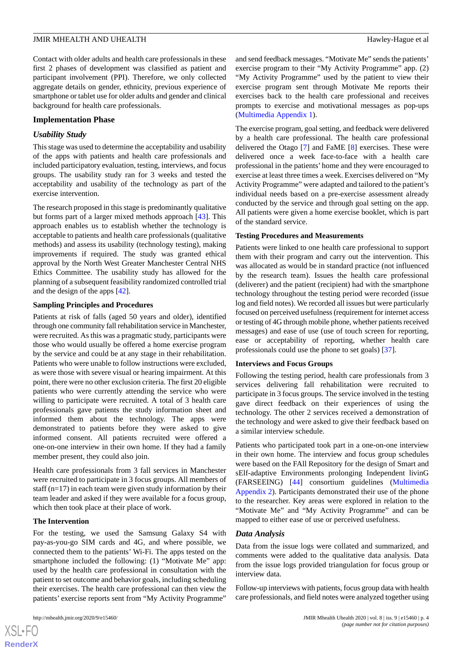Contact with older adults and health care professionals in these first 2 phases of development was classified as patient and participant involvement (PPI). Therefore, we only collected aggregate details on gender, ethnicity, previous experience of smartphone or tablet use for older adults and gender and clinical background for health care professionals.

#### **Implementation Phase**

#### *Usability Study*

This stage was used to determine the acceptability and usability of the apps with patients and health care professionals and included participatory evaluation, testing, interviews, and focus groups. The usability study ran for 3 weeks and tested the acceptability and usability of the technology as part of the exercise intervention.

The research proposed in this stage is predominantly qualitative but forms part of a larger mixed methods approach [\[43](#page-13-9)]. This approach enables us to establish whether the technology is acceptable to patients and health care professionals (qualitative methods) and assess its usability (technology testing), making improvements if required. The study was granted ethical approval by the North West Greater Manchester Central NHS Ethics Committee. The usability study has allowed for the planning of a subsequent feasibility randomized controlled trial and the design of the apps [\[42](#page-13-8)].

#### **Sampling Principles and Procedures**

Patients at risk of falls (aged 50 years and older), identified through one community fall rehabilitation service in Manchester, were recruited. As this was a pragmatic study, participants were those who would usually be offered a home exercise program by the service and could be at any stage in their rehabilitation. Patients who were unable to follow instructions were excluded, as were those with severe visual or hearing impairment. At this point, there were no other exclusion criteria. The first 20 eligible patients who were currently attending the service who were willing to participate were recruited. A total of 3 health care professionals gave patients the study information sheet and informed them about the technology. The apps were demonstrated to patients before they were asked to give informed consent. All patients recruited were offered a one-on-one interview in their own home. If they had a family member present, they could also join.

Health care professionals from 3 fall services in Manchester were recruited to participate in 3 focus groups. All members of staff  $(n=17)$  in each team were given study information by their team leader and asked if they were available for a focus group, which then took place at their place of work.

#### **The Intervention**

For the testing, we used the Samsung Galaxy S4 with pay-as-you-go SIM cards and 4G, and where possible, we connected them to the patients' Wi-Fi. The apps tested on the smartphone included the following: (1) "Motivate Me" app: used by the health care professional in consultation with the patient to set outcome and behavior goals, including scheduling their exercises. The health care professional can then view the patients' exercise reports sent from "My Activity Programme"

 $XS$  $\cdot$ FC **[RenderX](http://www.renderx.com/)** and send feedback messages. "Motivate Me" sends the patients' exercise program to their "My Activity Programme" app. (2) "My Activity Programme" used by the patient to view their exercise program sent through Motivate Me reports their exercises back to the health care professional and receives prompts to exercise and motivational messages as pop-ups ([Multimedia Appendix 1](#page-11-10)).

The exercise program, goal setting, and feedback were delivered by a health care professional. The health care professional delivered the Otago [[7\]](#page-11-5) and FaME [[8\]](#page-11-6) exercises. These were delivered once a week face-to-face with a health care professional in the patients' home and they were encouraged to exercise at least three times a week. Exercises delivered on "My Activity Programme" were adapted and tailored to the patient's individual needs based on a pre-exercise assessment already conducted by the service and through goal setting on the app. All patients were given a home exercise booklet, which is part of the standard service.

#### **Testing Procedures and Measurements**

Patients were linked to one health care professional to support them with their program and carry out the intervention. This was allocated as would be in standard practice (not influenced by the research team). Issues the health care professional (deliverer) and the patient (recipient) had with the smartphone technology throughout the testing period were recorded (issue log and field notes). We recorded all issues but were particularly focused on perceived usefulness (requirement for internet access or testing of 4G through mobile phone, whether patients received messages) and ease of use (use of touch screen for reporting, ease or acceptability of reporting, whether health care professionals could use the phone to set goals) [\[37](#page-13-3)].

#### **Interviews and Focus Groups**

Following the testing period, health care professionals from 3 services delivering fall rehabilitation were recruited to participate in 3 focus groups. The service involved in the testing gave direct feedback on their experiences of using the technology. The other 2 services received a demonstration of the technology and were asked to give their feedback based on a similar interview schedule.

Patients who participated took part in a one-on-one interview in their own home. The interview and focus group schedules were based on the FAll Repository for the design of Smart and sElf-adaptive Environments prolonging Independent livinG (FARSEEING) [[44\]](#page-13-10) consortium guidelines [\(Multimedia](#page-11-11) [Appendix 2\)](#page-11-11). Participants demonstrated their use of the phone to the researcher. Key areas were explored in relation to the "Motivate Me" and "My Activity Programme" and can be mapped to either ease of use or perceived usefulness.

#### *Data Analysis*

Data from the issue logs were collated and summarized, and comments were added to the qualitative data analysis. Data from the issue logs provided triangulation for focus group or interview data.

Follow-up interviews with patients, focus group data with health care professionals, and field notes were analyzed together using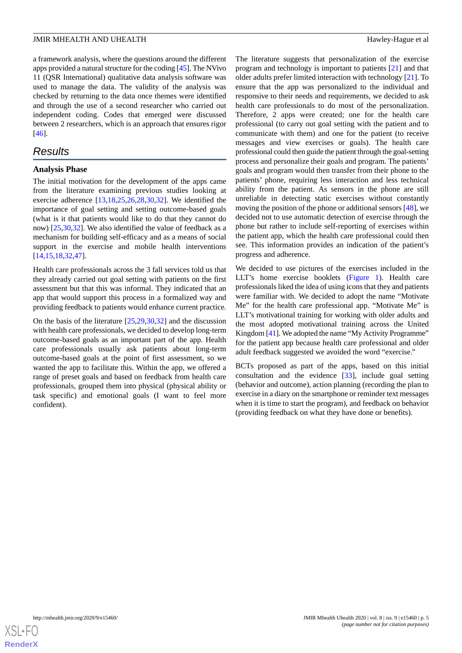a framework analysis, where the questions around the different apps provided a natural structure for the coding [[45\]](#page-13-11). The NVivo 11 (QSR International) qualitative data analysis software was used to manage the data. The validity of the analysis was checked by returning to the data once themes were identified and through the use of a second researcher who carried out independent coding. Codes that emerged were discussed between 2 researchers, which is an approach that ensures rigor [[46\]](#page-13-12).

# *Results*

#### **Analysis Phase**

The initial motivation for the development of the apps came from the literature examining previous studies looking at exercise adherence [\[13](#page-12-1),[18](#page-12-6)[,25](#page-12-13),[26](#page-12-14)[,28](#page-12-16),[30](#page-12-18)[,32](#page-12-20)]. We identified the importance of goal setting and setting outcome-based goals (what is it that patients would like to do that they cannot do now) [[25](#page-12-13)[,30](#page-12-18),[32\]](#page-12-20). We also identified the value of feedback as a mechanism for building self-efficacy and as a means of social support in the exercise and mobile health interventions [[14](#page-12-2)[,15](#page-12-3),[18](#page-12-6)[,32](#page-12-20),[47\]](#page-13-13).

Health care professionals across the 3 fall services told us that they already carried out goal setting with patients on the first assessment but that this was informal. They indicated that an app that would support this process in a formalized way and providing feedback to patients would enhance current practice.

On the basis of the literature [[25](#page-12-13)[,29](#page-12-17),[30,](#page-12-18)[32\]](#page-12-20) and the discussion with health care professionals, we decided to develop long-term outcome-based goals as an important part of the app. Health care professionals usually ask patients about long-term outcome-based goals at the point of first assessment, so we wanted the app to facilitate this. Within the app, we offered a range of preset goals and based on feedback from health care professionals, grouped them into physical (physical ability or task specific) and emotional goals (I want to feel more confident).

The literature suggests that personalization of the exercise program and technology is important to patients [\[21](#page-12-9)] and that older adults prefer limited interaction with technology [\[21](#page-12-9)]. To ensure that the app was personalized to the individual and responsive to their needs and requirements, we decided to ask health care professionals to do most of the personalization. Therefore, 2 apps were created; one for the health care professional (to carry out goal setting with the patient and to communicate with them) and one for the patient (to receive messages and view exercises or goals). The health care professional could then guide the patient through the goal-setting process and personalize their goals and program. The patients' goals and program would then transfer from their phone to the patients' phone, requiring less interaction and less technical ability from the patient. As sensors in the phone are still unreliable in detecting static exercises without constantly moving the position of the phone or additional sensors [\[48](#page-13-14)], we decided not to use automatic detection of exercise through the phone but rather to include self-reporting of exercises within the patient app, which the health care professional could then see. This information provides an indication of the patient's progress and adherence.

We decided to use pictures of the exercises included in the LLT's home exercise booklets ([Figure 1](#page-6-0)). Health care professionals liked the idea of using icons that they and patients were familiar with. We decided to adopt the name "Motivate Me" for the health care professional app. "Motivate Me" is LLT's motivational training for working with older adults and the most adopted motivational training across the United Kingdom [\[41\]](#page-13-7). We adopted the name "My Activity Programme" for the patient app because health care professional and older adult feedback suggested we avoided the word "exercise."

BCTs proposed as part of the apps, based on this initial consultation and the evidence [[33\]](#page-12-21), include goal setting (behavior and outcome), action planning (recording the plan to exercise in a diary on the smartphone or reminder text messages when it is time to start the program), and feedback on behavior (providing feedback on what they have done or benefits).

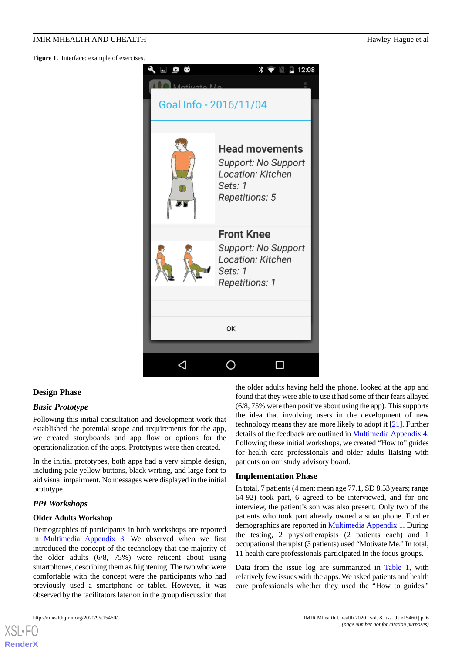<span id="page-6-0"></span>Figure 1. Interface: example of exercises.



#### **Design Phase**

#### *Basic Prototype*

Following this initial consultation and development work that established the potential scope and requirements for the app, we created storyboards and app flow or options for the operationalization of the apps. Prototypes were then created.

In the initial prototypes, both apps had a very simple design, including pale yellow buttons, black writing, and large font to aid visual impairment. No messages were displayed in the initial prototype.

#### *PPI Workshops*

#### **Older Adults Workshop**

Demographics of participants in both workshops are reported in [Multimedia Appendix 3.](#page-11-12) We observed when we first introduced the concept of the technology that the majority of the older adults (6/8, 75%) were reticent about using smartphones, describing them as frightening. The two who were comfortable with the concept were the participants who had previously used a smartphone or tablet. However, it was observed by the facilitators later on in the group discussion that

[XSL](http://www.w3.org/Style/XSL)•FO **[RenderX](http://www.renderx.com/)**

the older adults having held the phone, looked at the app and found that they were able to use it had some of their fears allayed (6/8, 75% were then positive about using the app). This supports the idea that involving users in the development of new technology means they are more likely to adopt it [\[21](#page-12-9)]. Further details of the feedback are outlined in [Multimedia Appendix 4](#page-11-13). Following these initial workshops, we created "How to" guides for health care professionals and older adults liaising with patients on our study advisory board.

#### **Implementation Phase**

In total, 7 patients (4 men; mean age 77.1, SD 8.53 years; range 64-92) took part, 6 agreed to be interviewed, and for one interview, the patient's son was also present. Only two of the patients who took part already owned a smartphone. Further demographics are reported in [Multimedia Appendix 1](#page-11-10). During the testing, 2 physiotherapists (2 patients each) and 1 occupational therapist (3 patients) used "Motivate Me." In total, 11 health care professionals participated in the focus groups.

Data from the issue log are summarized in [Table 1,](#page-7-0) with relatively few issues with the apps. We asked patients and health care professionals whether they used the "How to guides."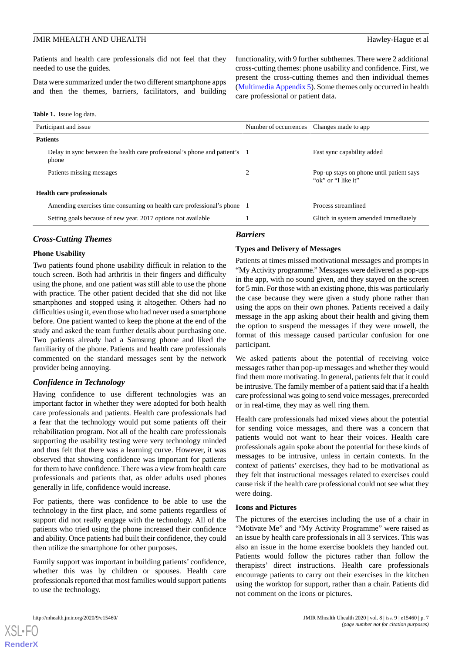Patients and health care professionals did not feel that they needed to use the guides.

Data were summarized under the two different smartphone apps and then the themes, barriers, facilitators, and building

<span id="page-7-0"></span>

| <b>Table 1.</b> Issue log data. |  |  |  |
|---------------------------------|--|--|--|
|---------------------------------|--|--|--|

| Participant and issue                                                               | Number of occurrences Changes made to app |                                                                 |  |
|-------------------------------------------------------------------------------------|-------------------------------------------|-----------------------------------------------------------------|--|
| <b>Patients</b>                                                                     |                                           |                                                                 |  |
| Delay in sync between the health care professional's phone and patient's 1<br>phone |                                           | Fast sync capability added                                      |  |
| Patients missing messages                                                           | 2                                         | Pop-up stays on phone until patient says<br>"ok" or "I like it" |  |
| <b>Health care professionals</b>                                                    |                                           |                                                                 |  |
| Amending exercises time consuming on health care professional's phone 1             |                                           | Process streamlined                                             |  |
| Setting goals because of new year. 2017 options not available                       |                                           | Glitch in system amended immediately                            |  |

#### *Cross-Cutting Themes*

# *Barriers*

#### **Types and Delivery of Messages**

care professional or patient data.

#### **Phone Usability**

Two patients found phone usability difficult in relation to the touch screen. Both had arthritis in their fingers and difficulty using the phone, and one patient was still able to use the phone with practice. The other patient decided that she did not like smartphones and stopped using it altogether. Others had no difficulties using it, even those who had never used a smartphone before. One patient wanted to keep the phone at the end of the study and asked the team further details about purchasing one. Two patients already had a Samsung phone and liked the familiarity of the phone. Patients and health care professionals commented on the standard messages sent by the network provider being annoying.

#### *Confidence in Technology*

Having confidence to use different technologies was an important factor in whether they were adopted for both health care professionals and patients. Health care professionals had a fear that the technology would put some patients off their rehabilitation program. Not all of the health care professionals supporting the usability testing were very technology minded and thus felt that there was a learning curve. However, it was observed that showing confidence was important for patients for them to have confidence. There was a view from health care professionals and patients that, as older adults used phones generally in life, confidence would increase.

For patients, there was confidence to be able to use the technology in the first place, and some patients regardless of support did not really engage with the technology. All of the patients who tried using the phone increased their confidence and ability. Once patients had built their confidence, they could then utilize the smartphone for other purposes.

Family support was important in building patients' confidence, whether this was by children or spouses. Health care professionals reported that most families would support patients to use the technology.

Patients at times missed motivational messages and prompts in "My Activity programme." Messages were delivered as pop-ups in the app, with no sound given, and they stayed on the screen for 5 min. For those with an existing phone, this was particularly the case because they were given a study phone rather than using the apps on their own phones. Patients received a daily message in the app asking about their health and giving them the option to suspend the messages if they were unwell, the format of this message caused particular confusion for one participant.

functionality, with 9 further subthemes. There were 2 additional cross-cutting themes: phone usability and confidence. First, we present the cross-cutting themes and then individual themes ([Multimedia Appendix 5\)](#page-11-14). Some themes only occurred in health

We asked patients about the potential of receiving voice messages rather than pop-up messages and whether they would find them more motivating. In general, patients felt that it could be intrusive. The family member of a patient said that if a health care professional was going to send voice messages, prerecorded or in real-time, they may as well ring them.

Health care professionals had mixed views about the potential for sending voice messages, and there was a concern that patients would not want to hear their voices. Health care professionals again spoke about the potential for these kinds of messages to be intrusive, unless in certain contexts. In the context of patients' exercises, they had to be motivational as they felt that instructional messages related to exercises could cause risk if the health care professional could not see what they were doing.

#### **Icons and Pictures**

The pictures of the exercises including the use of a chair in "Motivate Me" and "My Activity Programme" were raised as an issue by health care professionals in all 3 services. This was also an issue in the home exercise booklets they handed out. Patients would follow the pictures rather than follow the therapists' direct instructions. Health care professionals encourage patients to carry out their exercises in the kitchen using the worktop for support, rather than a chair. Patients did not comment on the icons or pictures.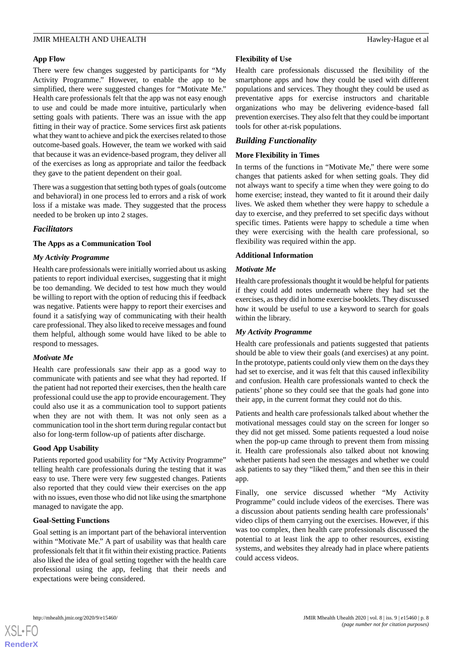#### **App Flow**

There were few changes suggested by participants for "My Activity Programme." However, to enable the app to be simplified, there were suggested changes for "Motivate Me." Health care professionals felt that the app was not easy enough to use and could be made more intuitive, particularly when setting goals with patients. There was an issue with the app fitting in their way of practice. Some services first ask patients what they want to achieve and pick the exercises related to those outcome-based goals. However, the team we worked with said that because it was an evidence-based program, they deliver all of the exercises as long as appropriate and tailor the feedback they gave to the patient dependent on their goal.

There was a suggestion that setting both types of goals (outcome and behavioral) in one process led to errors and a risk of work loss if a mistake was made. They suggested that the process needed to be broken up into 2 stages.

#### *Facilitators*

#### **The Apps as a Communication Tool**

#### *My Activity Programme*

Health care professionals were initially worried about us asking patients to report individual exercises, suggesting that it might be too demanding. We decided to test how much they would be willing to report with the option of reducing this if feedback was negative. Patients were happy to report their exercises and found it a satisfying way of communicating with their health care professional. They also liked to receive messages and found them helpful, although some would have liked to be able to respond to messages.

#### *Motivate Me*

Health care professionals saw their app as a good way to communicate with patients and see what they had reported. If the patient had not reported their exercises, then the health care professional could use the app to provide encouragement. They could also use it as a communication tool to support patients when they are not with them. It was not only seen as a communication tool in the short term during regular contact but also for long-term follow-up of patients after discharge.

#### **Good App Usability**

Patients reported good usability for "My Activity Programme" telling health care professionals during the testing that it was easy to use. There were very few suggested changes. Patients also reported that they could view their exercises on the app with no issues, even those who did not like using the smartphone managed to navigate the app.

#### **Goal-Setting Functions**

Goal setting is an important part of the behavioral intervention within "Motivate Me." A part of usability was that health care professionals felt that it fit within their existing practice. Patients also liked the idea of goal setting together with the health care professional using the app, feeling that their needs and expectations were being considered.

#### **Flexibility of Use**

Health care professionals discussed the flexibility of the smartphone apps and how they could be used with different populations and services. They thought they could be used as preventative apps for exercise instructors and charitable organizations who may be delivering evidence-based fall prevention exercises. They also felt that they could be important tools for other at-risk populations.

### *Building Functionality*

#### **More Flexibility in Times**

In terms of the functions in "Motivate Me," there were some changes that patients asked for when setting goals. They did not always want to specify a time when they were going to do home exercise; instead, they wanted to fit it around their daily lives. We asked them whether they were happy to schedule a day to exercise, and they preferred to set specific days without specific times. Patients were happy to schedule a time when they were exercising with the health care professional, so flexibility was required within the app.

#### **Additional Information**

#### *Motivate Me*

Health care professionals thought it would be helpful for patients if they could add notes underneath where they had set the exercises, as they did in home exercise booklets. They discussed how it would be useful to use a keyword to search for goals within the library.

#### *My Activity Programme*

Health care professionals and patients suggested that patients should be able to view their goals (and exercises) at any point. In the prototype, patients could only view them on the days they had set to exercise, and it was felt that this caused inflexibility and confusion. Health care professionals wanted to check the patients' phone so they could see that the goals had gone into their app, in the current format they could not do this.

Patients and health care professionals talked about whether the motivational messages could stay on the screen for longer so they did not get missed. Some patients requested a loud noise when the pop-up came through to prevent them from missing it. Health care professionals also talked about not knowing whether patients had seen the messages and whether we could ask patients to say they "liked them," and then see this in their app.

Finally, one service discussed whether "My Activity Programme" could include videos of the exercises. There was a discussion about patients sending health care professionals' video clips of them carrying out the exercises. However, if this was too complex, then health care professionals discussed the potential to at least link the app to other resources, existing systems, and websites they already had in place where patients could access videos.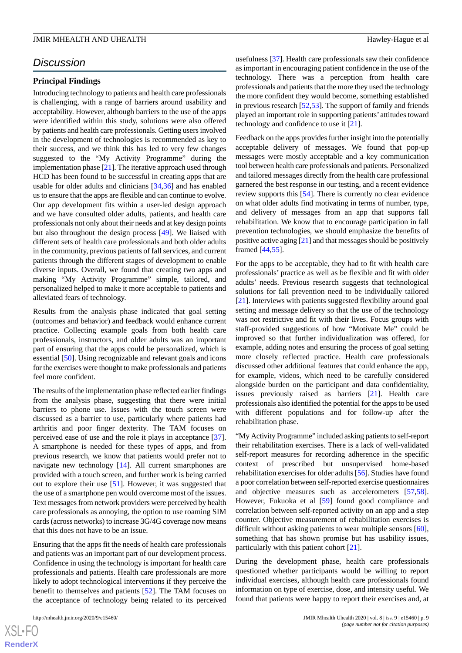# *Discussion*

#### **Principal Findings**

Introducing technology to patients and health care professionals is challenging, with a range of barriers around usability and acceptability. However, although barriers to the use of the apps were identified within this study, solutions were also offered by patients and health care professionals. Getting users involved in the development of technologies is recommended as key to their success, and we think this has led to very few changes suggested to the "My Activity Programme" during the implementation phase [\[21](#page-12-9)]. The iterative approach used through HCD has been found to be successful in creating apps that are usable for older adults and clinicians [\[34](#page-13-0)[,36](#page-13-2)] and has enabled us to ensure that the apps are flexible and can continue to evolve. Our app development fits within a user-led design approach and we have consulted older adults, patients, and health care professionals not only about their needs and at key design points but also throughout the design process [\[49](#page-13-15)]. We liaised with different sets of health care professionals and both older adults in the community, previous patients of fall services, and current patients through the different stages of development to enable diverse inputs. Overall, we found that creating two apps and making "My Activity Programme" simple, tailored, and personalized helped to make it more acceptable to patients and alleviated fears of technology.

Results from the analysis phase indicated that goal setting (outcomes and behavior) and feedback would enhance current practice. Collecting example goals from both health care professionals, instructors, and older adults was an important part of ensuring that the apps could be personalized, which is essential [\[50](#page-13-16)]. Using recognizable and relevant goals and icons for the exercises were thought to make professionals and patients feel more confident.

The results of the implementation phase reflected earlier findings from the analysis phase, suggesting that there were initial barriers to phone use. Issues with the touch screen were discussed as a barrier to use, particularly where patients had arthritis and poor finger dexterity. The TAM focuses on perceived ease of use and the role it plays in acceptance [[37\]](#page-13-3). A smartphone is needed for these types of apps, and from previous research, we know that patients would prefer not to navigate new technology [[14\]](#page-12-2). All current smartphones are provided with a touch screen, and further work is being carried out to explore their use [\[51](#page-13-17)]. However, it was suggested that the use of a smartphone pen would overcome most of the issues. Text messages from network providers were perceived by health care professionals as annoying, the option to use roaming SIM cards (across networks) to increase 3G/4G coverage now means that this does not have to be an issue.

Ensuring that the apps fit the needs of health care professionals and patients was an important part of our development process. Confidence in using the technology is important for health care professionals and patients. Health care professionals are more likely to adopt technological interventions if they perceive the benefit to themselves and patients [[52\]](#page-13-18). The TAM focuses on the acceptance of technology being related to its perceived

 $XS$ -FO **[RenderX](http://www.renderx.com/)** usefulness [[37\]](#page-13-3). Health care professionals saw their confidence as important in encouraging patient confidence in the use of the technology. There was a perception from health care professionals and patients that the more they used the technology the more confident they would become, something established in previous research [[52](#page-13-18)[,53](#page-13-19)]. The support of family and friends played an important role in supporting patients' attitudes toward technology and confidence to use it [\[21](#page-12-9)].

Feedback on the apps provides further insight into the potentially acceptable delivery of messages. We found that pop-up messages were mostly acceptable and a key communication tool between health care professionals and patients. Personalized and tailored messages directly from the health care professional garnered the best response in our testing, and a recent evidence review supports this [\[54](#page-13-20)]. There is currently no clear evidence on what older adults find motivating in terms of number, type, and delivery of messages from an app that supports fall rehabilitation. We know that to encourage participation in fall prevention technologies, we should emphasize the benefits of positive active aging [\[21](#page-12-9)] and that messages should be positively framed [[44](#page-13-10)[,55](#page-13-21)].

For the apps to be acceptable, they had to fit with health care professionals' practice as well as be flexible and fit with older adults' needs. Previous research suggests that technological solutions for fall prevention need to be individually tailored [[21\]](#page-12-9). Interviews with patients suggested flexibility around goal setting and message delivery so that the use of the technology was not restrictive and fit with their lives. Focus groups with staff-provided suggestions of how "Motivate Me" could be improved so that further individualization was offered, for example, adding notes and ensuring the process of goal setting more closely reflected practice. Health care professionals discussed other additional features that could enhance the app, for example, videos, which need to be carefully considered alongside burden on the participant and data confidentiality, issues previously raised as barriers [\[21](#page-12-9)]. Health care professionals also identified the potential for the apps to be used with different populations and for follow-up after the rehabilitation phase.

"My Activity Programme" included asking patients to self-report their rehabilitation exercises. There is a lack of well-validated self-report measures for recording adherence in the specific context of prescribed but unsupervised home-based rehabilitation exercises for older adults [[56\]](#page-13-22). Studies have found a poor correlation between self-reported exercise questionnaires and objective measures such as accelerometers [\[57](#page-13-23),[58\]](#page-13-24). However, Fukuoka et al [\[59](#page-14-0)] found good compliance and correlation between self-reported activity on an app and a step counter. Objective measurement of rehabilitation exercises is difficult without asking patients to wear multiple sensors [[60\]](#page-14-1), something that has shown promise but has usability issues, particularly with this patient cohort [[21\]](#page-12-9).

During the development phase, health care professionals questioned whether participants would be willing to report individual exercises, although health care professionals found information on type of exercise, dose, and intensity useful. We found that patients were happy to report their exercises and, at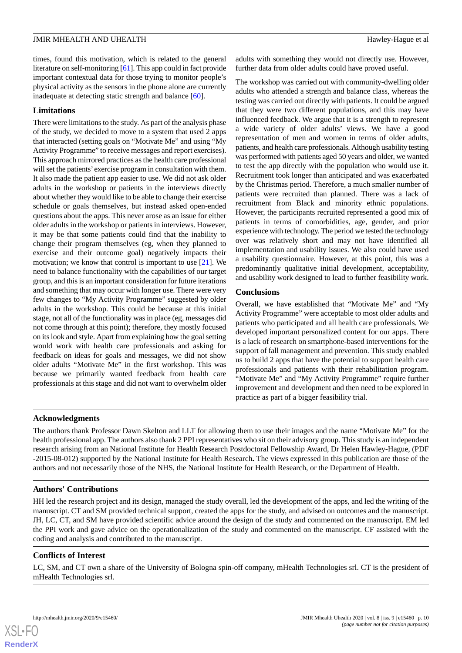times, found this motivation, which is related to the general literature on self-monitoring [\[61](#page-14-2)]. This app could in fact provide important contextual data for those trying to monitor people's physical activity as the sensors in the phone alone are currently inadequate at detecting static strength and balance [[60\]](#page-14-1).

#### **Limitations**

There were limitations to the study. As part of the analysis phase of the study, we decided to move to a system that used 2 apps that interacted (setting goals on "Motivate Me" and using "My Activity Programme" to receive messages and report exercises). This approach mirrored practices as the health care professional will set the patients' exercise program in consultation with them. It also made the patient app easier to use. We did not ask older adults in the workshop or patients in the interviews directly about whether they would like to be able to change their exercise schedule or goals themselves, but instead asked open-ended questions about the apps. This never arose as an issue for either older adults in the workshop or patients in interviews. However, it may be that some patients could find that the inability to change their program themselves (eg, when they planned to exercise and their outcome goal) negatively impacts their motivation; we know that control is important to use [[21\]](#page-12-9). We need to balance functionality with the capabilities of our target group, and this is an important consideration for future iterations and something that may occur with longer use. There were very few changes to "My Activity Programme" suggested by older adults in the workshop. This could be because at this initial stage, not all of the functionality was in place (eg, messages did not come through at this point); therefore, they mostly focused on its look and style. Apart from explaining how the goal setting would work with health care professionals and asking for feedback on ideas for goals and messages, we did not show older adults "Motivate Me" in the first workshop. This was because we primarily wanted feedback from health care professionals at this stage and did not want to overwhelm older adults with something they would not directly use. However, further data from older adults could have proved useful.

The workshop was carried out with community-dwelling older adults who attended a strength and balance class, whereas the testing was carried out directly with patients. It could be argued that they were two different populations, and this may have influenced feedback. We argue that it is a strength to represent a wide variety of older adults' views. We have a good representation of men and women in terms of older adults, patients, and health care professionals. Although usability testing was performed with patients aged 50 years and older, we wanted to test the app directly with the population who would use it. Recruitment took longer than anticipated and was exacerbated by the Christmas period. Therefore, a much smaller number of patients were recruited than planned. There was a lack of recruitment from Black and minority ethnic populations. However, the participants recruited represented a good mix of patients in terms of comorbidities, age, gender, and prior experience with technology. The period we tested the technology over was relatively short and may not have identified all implementation and usability issues. We also could have used a usability questionnaire. However, at this point, this was a predominantly qualitative initial development, acceptability, and usability work designed to lead to further feasibility work.

#### **Conclusions**

Overall, we have established that "Motivate Me" and "My Activity Programme" were acceptable to most older adults and patients who participated and all health care professionals. We developed important personalized content for our apps. There is a lack of research on smartphone-based interventions for the support of fall management and prevention. This study enabled us to build 2 apps that have the potential to support health care professionals and patients with their rehabilitation program. "Motivate Me" and "My Activity Programme" require further improvement and development and then need to be explored in practice as part of a bigger feasibility trial.

#### **Acknowledgments**

The authors thank Professor Dawn Skelton and LLT for allowing them to use their images and the name "Motivate Me" for the health professional app. The authors also thank 2 PPI representatives who sit on their advisory group. This study is an independent research arising from an National Institute for Health Research Postdoctoral Fellowship Award, Dr Helen Hawley-Hague, (PDF -2015-08-012) supported by the National Institute for Health Research**.** The views expressed in this publication are those of the authors and not necessarily those of the NHS, the National Institute for Health Research, or the Department of Health.

# **Authors' Contributions**

HH led the research project and its design, managed the study overall, led the development of the apps, and led the writing of the manuscript. CT and SM provided technical support, created the apps for the study, and advised on outcomes and the manuscript. JH, LC, CT, and SM have provided scientific advice around the design of the study and commented on the manuscript. EM led the PPI work and gave advice on the operationalization of the study and commented on the manuscript. CF assisted with the coding and analysis and contributed to the manuscript.

#### **Conflicts of Interest**

LC, SM, and CT own a share of the University of Bologna spin-off company, mHealth Technologies srl. CT is the president of mHealth Technologies srl.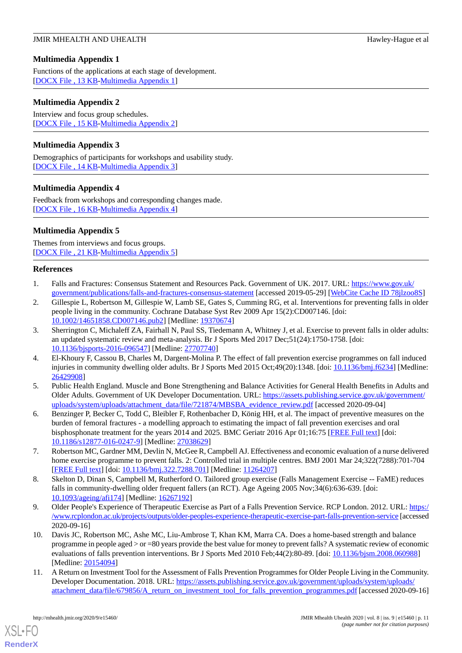# <span id="page-11-10"></span>**Multimedia Appendix 1**

Functions of the applications at each stage of development. [[DOCX File , 13 KB](https://jmir.org/api/download?alt_name=mhealth_v8i9e15460_app1.docx&filename=58845e3e6324ea0dbe81e8e10ecb6fd1.docx)-[Multimedia Appendix 1\]](https://jmir.org/api/download?alt_name=mhealth_v8i9e15460_app1.docx&filename=58845e3e6324ea0dbe81e8e10ecb6fd1.docx)

# <span id="page-11-11"></span>**Multimedia Appendix 2**

Interview and focus group schedules. [[DOCX File , 15 KB](https://jmir.org/api/download?alt_name=mhealth_v8i9e15460_app2.docx&filename=44570ac1eb5434fd24b2345ab5b7ea2d.docx)-[Multimedia Appendix 2\]](https://jmir.org/api/download?alt_name=mhealth_v8i9e15460_app2.docx&filename=44570ac1eb5434fd24b2345ab5b7ea2d.docx)

# <span id="page-11-12"></span>**Multimedia Appendix 3**

<span id="page-11-13"></span>Demographics of participants for workshops and usability study. [[DOCX File , 14 KB](https://jmir.org/api/download?alt_name=mhealth_v8i9e15460_app3.docx&filename=9460bbbf0fb55e72be891d7093159d53.docx)-[Multimedia Appendix 3\]](https://jmir.org/api/download?alt_name=mhealth_v8i9e15460_app3.docx&filename=9460bbbf0fb55e72be891d7093159d53.docx)

# **Multimedia Appendix 4**

<span id="page-11-14"></span>Feedback from workshops and corresponding changes made. [[DOCX File , 16 KB](https://jmir.org/api/download?alt_name=mhealth_v8i9e15460_app4.docx&filename=5f89a0459803eb03cada4a2ef575eaa4.docx)-[Multimedia Appendix 4\]](https://jmir.org/api/download?alt_name=mhealth_v8i9e15460_app4.docx&filename=5f89a0459803eb03cada4a2ef575eaa4.docx)

# **Multimedia Appendix 5**

<span id="page-11-0"></span>Themes from interviews and focus groups. [[DOCX File , 21 KB](https://jmir.org/api/download?alt_name=mhealth_v8i9e15460_app5.docx&filename=979b14b9ce1900dbed4814601c7cb492.docx)-[Multimedia Appendix 5\]](https://jmir.org/api/download?alt_name=mhealth_v8i9e15460_app5.docx&filename=979b14b9ce1900dbed4814601c7cb492.docx)

#### <span id="page-11-1"></span>**References**

- 1. Falls and Fractures: Consensus Statement and Resources Pack. Government of UK. 2017. URL: [https://www.gov.uk/](https://www.gov.uk/government/publications/falls-and-fractures-consensus-statement) [government/publications/falls-and-fractures-consensus-statement](https://www.gov.uk/government/publications/falls-and-fractures-consensus-statement) [accessed 2019-05-29] [\[WebCite Cache ID 78jlzoo8S\]](http://www.webcitation.org/

                                78jlzoo8S)
- <span id="page-11-3"></span>2. Gillespie L, Robertson M, Gillespie W, Lamb SE, Gates S, Cumming RG, et al. Interventions for preventing falls in older people living in the community. Cochrane Database Syst Rev 2009 Apr 15(2):CD007146. [doi: [10.1002/14651858.CD007146.pub2\]](http://dx.doi.org/10.1002/14651858.CD007146.pub2) [Medline: [19370674](http://www.ncbi.nlm.nih.gov/entrez/query.fcgi?cmd=Retrieve&db=PubMed&list_uids=19370674&dopt=Abstract)]
- 3. Sherrington C, Michaleff ZA, Fairhall N, Paul SS, Tiedemann A, Whitney J, et al. Exercise to prevent falls in older adults: an updated systematic review and meta-analysis. Br J Sports Med 2017 Dec;51(24):1750-1758. [doi: [10.1136/bjsports-2016-096547](http://dx.doi.org/10.1136/bjsports-2016-096547)] [Medline: [27707740\]](http://www.ncbi.nlm.nih.gov/entrez/query.fcgi?cmd=Retrieve&db=PubMed&list_uids=27707740&dopt=Abstract)
- <span id="page-11-2"></span>4. El-Khoury F, Cassou B, Charles M, Dargent-Molina P. The effect of fall prevention exercise programmes on fall induced injuries in community dwelling older adults. Br J Sports Med 2015 Oct;49(20):1348. [doi: [10.1136/bmj.f6234\]](http://dx.doi.org/10.1136/bmj.f6234) [Medline: [26429908](http://www.ncbi.nlm.nih.gov/entrez/query.fcgi?cmd=Retrieve&db=PubMed&list_uids=26429908&dopt=Abstract)]
- <span id="page-11-4"></span>5. Public Health England. Muscle and Bone Strengthening and Balance Activities for General Health Benefits in Adults and Older Adults. Government of UK Developer Documentation. URL: [https://assets.publishing.service.gov.uk/government/](https://assets.publishing.service.gov.uk/government/uploads/system/uploads/attachment_data/file/721874/MBSBA_evidence_review.pdf) [uploads/system/uploads/attachment\\_data/file/721874/MBSBA\\_evidence\\_review.pdf](https://assets.publishing.service.gov.uk/government/uploads/system/uploads/attachment_data/file/721874/MBSBA_evidence_review.pdf) [accessed 2020-09-04]
- <span id="page-11-6"></span><span id="page-11-5"></span>6. Benzinger P, Becker C, Todd C, Bleibler F, Rothenbacher D, König HH, et al. The impact of preventive measures on the burden of femoral fractures - a modelling approach to estimating the impact of fall prevention exercises and oral bisphosphonate treatment for the years 2014 and 2025. BMC Geriatr 2016 Apr 01;16:75 [[FREE Full text](https://bmcgeriatr.biomedcentral.com/articles/10.1186/s12877-016-0247-9)] [doi: [10.1186/s12877-016-0247-9\]](http://dx.doi.org/10.1186/s12877-016-0247-9) [Medline: [27038629](http://www.ncbi.nlm.nih.gov/entrez/query.fcgi?cmd=Retrieve&db=PubMed&list_uids=27038629&dopt=Abstract)]
- <span id="page-11-7"></span>7. Robertson MC, Gardner MM, Devlin N, McGee R, Campbell AJ. Effectiveness and economic evaluation of a nurse delivered home exercise programme to prevent falls. 2: Controlled trial in multiple centres. BMJ 2001 Mar 24;322(7288):701-704 [[FREE Full text](http://europepmc.org/abstract/MED/11264207)] [doi: [10.1136/bmj.322.7288.701\]](http://dx.doi.org/10.1136/bmj.322.7288.701) [Medline: [11264207\]](http://www.ncbi.nlm.nih.gov/entrez/query.fcgi?cmd=Retrieve&db=PubMed&list_uids=11264207&dopt=Abstract)
- <span id="page-11-8"></span>8. Skelton D, Dinan S, Campbell M, Rutherford O. Tailored group exercise (Falls Management Exercise -- FaME) reduces falls in community-dwelling older frequent fallers (an RCT). Age Ageing 2005 Nov;34(6):636-639. [doi: [10.1093/ageing/afi174\]](http://dx.doi.org/10.1093/ageing/afi174) [Medline: [16267192](http://www.ncbi.nlm.nih.gov/entrez/query.fcgi?cmd=Retrieve&db=PubMed&list_uids=16267192&dopt=Abstract)]
- <span id="page-11-9"></span>9. Older People's Experience of Therapeutic Exercise as Part of a Falls Prevention Service. RCP London. 2012. URL: [https:/](https://www.rcplondon.ac.uk/projects/outputs/older-peoples-experience-therapeutic-exercise-part-falls-prevention-service) [/www.rcplondon.ac.uk/projects/outputs/older-peoples-experience-therapeutic-exercise-part-falls-prevention-service](https://www.rcplondon.ac.uk/projects/outputs/older-peoples-experience-therapeutic-exercise-part-falls-prevention-service) [accessed 2020-09-16]
- 10. Davis JC, Robertson MC, Ashe MC, Liu-Ambrose T, Khan KM, Marra CA. Does a home-based strength and balance programme in people aged > or =80 years provide the best value for money to prevent falls? A systematic review of economic evaluations of falls prevention interventions. Br J Sports Med 2010 Feb;44(2):80-89. [doi: [10.1136/bjsm.2008.060988](http://dx.doi.org/10.1136/bjsm.2008.060988)] [Medline: [20154094](http://www.ncbi.nlm.nih.gov/entrez/query.fcgi?cmd=Retrieve&db=PubMed&list_uids=20154094&dopt=Abstract)]
- 11. A Return on Investment Tool for the Assessment of Falls Prevention Programmes for Older People Living in the Community. Developer Documentation. 2018. URL: [https://assets.publishing.service.gov.uk/government/uploads/system/uploads/](https://assets.publishing.service.gov.uk/government/uploads/system/uploads/attachment_data/file/679856/A_return_on_investment_tool_for_falls_prevention_programmes.pdf) [attachment\\_data/file/679856/A\\_return\\_on\\_investment\\_tool\\_for\\_falls\\_prevention\\_programmes.pdf](https://assets.publishing.service.gov.uk/government/uploads/system/uploads/attachment_data/file/679856/A_return_on_investment_tool_for_falls_prevention_programmes.pdf) [accessed 2020-09-16]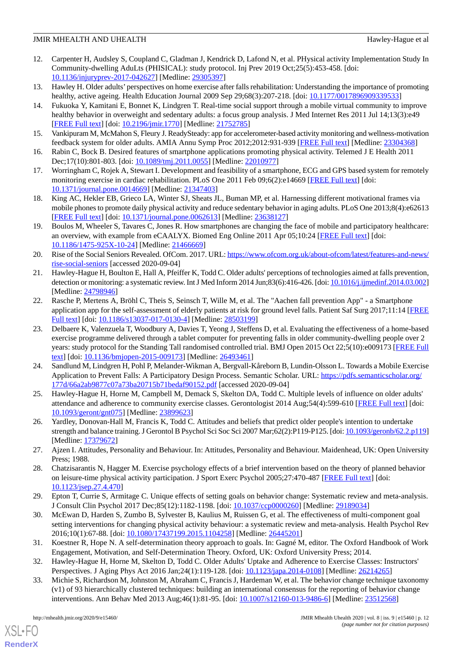- <span id="page-12-0"></span>12. Carpenter H, Audsley S, Coupland C, Gladman J, Kendrick D, Lafond N, et al. PHysical activity Implementation Study In Community-dwelling AduLts (PHISICAL): study protocol. Inj Prev 2019 Oct;25(5):453-458. [doi: [10.1136/injuryprev-2017-042627\]](http://dx.doi.org/10.1136/injuryprev-2017-042627) [Medline: [29305397\]](http://www.ncbi.nlm.nih.gov/entrez/query.fcgi?cmd=Retrieve&db=PubMed&list_uids=29305397&dopt=Abstract)
- <span id="page-12-2"></span><span id="page-12-1"></span>13. Hawley H. Older adults'perspectives on home exercise after falls rehabilitation: Understanding the importance of promoting healthy, active ageing. Health Education Journal 2009 Sep 29;68(3):207-218. [doi: [10.1177/0017896909339533](http://dx.doi.org/10.1177/0017896909339533)]
- 14. Fukuoka Y, Kamitani E, Bonnet K, Lindgren T. Real-time social support through a mobile virtual community to improve healthy behavior in overweight and sedentary adults: a focus group analysis. J Med Internet Res 2011 Jul 14;13(3):e49 [[FREE Full text](https://www.jmir.org/2011/3/e49/)] [doi: [10.2196/jmir.1770](http://dx.doi.org/10.2196/jmir.1770)] [Medline: [21752785](http://www.ncbi.nlm.nih.gov/entrez/query.fcgi?cmd=Retrieve&db=PubMed&list_uids=21752785&dopt=Abstract)]
- <span id="page-12-4"></span><span id="page-12-3"></span>15. Vankipuram M, McMahon S, Fleury J. ReadySteady: app for accelerometer-based activity monitoring and wellness-motivation feedback system for older adults. AMIA Annu Symp Proc 2012;2012:931-939 [[FREE Full text](http://europepmc.org/abstract/MED/23304368)] [Medline: [23304368\]](http://www.ncbi.nlm.nih.gov/entrez/query.fcgi?cmd=Retrieve&db=PubMed&list_uids=23304368&dopt=Abstract)
- <span id="page-12-5"></span>16. Rabin C, Bock B. Desired features of smartphone applications promoting physical activity. Telemed J E Health 2011 Dec;17(10):801-803. [doi: [10.1089/tmj.2011.0055](http://dx.doi.org/10.1089/tmj.2011.0055)] [Medline: [22010977\]](http://www.ncbi.nlm.nih.gov/entrez/query.fcgi?cmd=Retrieve&db=PubMed&list_uids=22010977&dopt=Abstract)
- <span id="page-12-6"></span>17. Worringham C, Rojek A, Stewart I. Development and feasibility of a smartphone, ECG and GPS based system for remotely monitoring exercise in cardiac rehabilitation. PLoS One 2011 Feb 09;6(2):e14669 [[FREE Full text](https://dx.plos.org/10.1371/journal.pone.0014669)] [doi: [10.1371/journal.pone.0014669\]](http://dx.doi.org/10.1371/journal.pone.0014669) [Medline: [21347403](http://www.ncbi.nlm.nih.gov/entrez/query.fcgi?cmd=Retrieve&db=PubMed&list_uids=21347403&dopt=Abstract)]
- <span id="page-12-7"></span>18. King AC, Hekler EB, Grieco LA, Winter SJ, Sheats JL, Buman MP, et al. Harnessing different motivational frames via mobile phones to promote daily physical activity and reduce sedentary behavior in aging adults. PLoS One 2013;8(4):e62613 [[FREE Full text](https://dx.plos.org/10.1371/journal.pone.0062613)] [doi: [10.1371/journal.pone.0062613](http://dx.doi.org/10.1371/journal.pone.0062613)] [Medline: [23638127](http://www.ncbi.nlm.nih.gov/entrez/query.fcgi?cmd=Retrieve&db=PubMed&list_uids=23638127&dopt=Abstract)]
- <span id="page-12-8"></span>19. Boulos M, Wheeler S, Tavares C, Jones R. How smartphones are changing the face of mobile and participatory healthcare: an overview, with example from eCAALYX. Biomed Eng Online 2011 Apr 05;10:24 [\[FREE Full text\]](https://biomedical-engineering-online.biomedcentral.com/articles/10.1186/1475-925X-10-24) [doi: [10.1186/1475-925X-10-24](http://dx.doi.org/10.1186/1475-925X-10-24)] [Medline: [21466669\]](http://www.ncbi.nlm.nih.gov/entrez/query.fcgi?cmd=Retrieve&db=PubMed&list_uids=21466669&dopt=Abstract)
- <span id="page-12-9"></span>20. Rise of the Social Seniors Revealed. OfCom. 2017. URL: [https://www.ofcom.org.uk/about-ofcom/latest/features-and-news/](https://www.ofcom.org.uk/about-ofcom/latest/features-and-news/rise-social-seniors) [rise-social-seniors](https://www.ofcom.org.uk/about-ofcom/latest/features-and-news/rise-social-seniors) [accessed 2020-09-04]
- <span id="page-12-10"></span>21. Hawley-Hague H, Boulton E, Hall A, Pfeiffer K, Todd C. Older adults' perceptions of technologies aimed at falls prevention, detection or monitoring: a systematic review. Int J Med Inform 2014 Jun;83(6):416-426. [doi: [10.1016/j.ijmedinf.2014.03.002\]](http://dx.doi.org/10.1016/j.ijmedinf.2014.03.002) [Medline: [24798946](http://www.ncbi.nlm.nih.gov/entrez/query.fcgi?cmd=Retrieve&db=PubMed&list_uids=24798946&dopt=Abstract)]
- <span id="page-12-11"></span>22. Rasche P, Mertens A, Bröhl C, Theis S, Seinsch T, Wille M, et al. The "Aachen fall prevention App" - a Smartphone application app for the self-assessment of elderly patients at risk for ground level falls. Patient Saf Surg 2017;11:14 [\[FREE](https://pssjournal.biomedcentral.com/articles/10.1186/s13037-017-0130-4) [Full text\]](https://pssjournal.biomedcentral.com/articles/10.1186/s13037-017-0130-4) [doi: [10.1186/s13037-017-0130-4](http://dx.doi.org/10.1186/s13037-017-0130-4)] [Medline: [28503199](http://www.ncbi.nlm.nih.gov/entrez/query.fcgi?cmd=Retrieve&db=PubMed&list_uids=28503199&dopt=Abstract)]
- <span id="page-12-12"></span>23. Delbaere K, Valenzuela T, Woodbury A, Davies T, Yeong J, Steffens D, et al. Evaluating the effectiveness of a home-based exercise programme delivered through a tablet computer for preventing falls in older community-dwelling people over 2 years: study protocol for the Standing Tall randomised controlled trial. BMJ Open 2015 Oct 22;5(10):e009173 [[FREE Full](http://bmjopen.bmj.com/cgi/pmidlookup?view=long&pmid=26493461) [text](http://bmjopen.bmj.com/cgi/pmidlookup?view=long&pmid=26493461)] [doi: [10.1136/bmjopen-2015-009173\]](http://dx.doi.org/10.1136/bmjopen-2015-009173) [Medline: [26493461](http://www.ncbi.nlm.nih.gov/entrez/query.fcgi?cmd=Retrieve&db=PubMed&list_uids=26493461&dopt=Abstract)]
- <span id="page-12-13"></span>24. Sandlund M, Lindgren H, Pohl P, Melander-Wikman A, Bergvall-Kåreborn B, Lundin-Olsson L. Towards a Mobile Exercise Application to Prevent Falls: A Participatory Design Process. Semantic Scholar. URL: [https://pdfs.semanticscholar.org/](https://pdfs.semanticscholar.org/177d/66a2ab9877c07a73ba20715b71bedaf90152.pdf) [177d/66a2ab9877c07a73ba20715b71bedaf90152.pdf](https://pdfs.semanticscholar.org/177d/66a2ab9877c07a73ba20715b71bedaf90152.pdf) [accessed 2020-09-04]
- <span id="page-12-15"></span><span id="page-12-14"></span>25. Hawley-Hague H, Horne M, Campbell M, Demack S, Skelton DA, Todd C. Multiple levels of influence on older adults' attendance and adherence to community exercise classes. Gerontologist 2014 Aug;54(4):599-610 [\[FREE Full text\]](http://europepmc.org/abstract/MED/23899623) [doi: [10.1093/geront/gnt075\]](http://dx.doi.org/10.1093/geront/gnt075) [Medline: [23899623\]](http://www.ncbi.nlm.nih.gov/entrez/query.fcgi?cmd=Retrieve&db=PubMed&list_uids=23899623&dopt=Abstract)
- <span id="page-12-16"></span>26. Yardley, Donovan-Hall M, Francis K, Todd C. Attitudes and beliefs that predict older people's intention to undertake strength and balance training. J Gerontol B Psychol Sci Soc Sci 2007 Mar;62(2):P119-P125. [doi: [10.1093/geronb/62.2.p119\]](http://dx.doi.org/10.1093/geronb/62.2.p119) [Medline: [17379672](http://www.ncbi.nlm.nih.gov/entrez/query.fcgi?cmd=Retrieve&db=PubMed&list_uids=17379672&dopt=Abstract)]
- <span id="page-12-17"></span>27. Ajzen I. Attitudes, Personality and Behaviour. In: Attitudes, Personality and Behaviour. Maidenhead, UK: Open University Press; 1988.
- <span id="page-12-18"></span>28. Chatzisarantis N, Hagger M. Exercise psychology effects of a brief intervention based on the theory of planned behavior on leisure-time physical activity participation. J Sport Exerc Psychol 2005;27:470-487 [[FREE Full text](https://doi.org/10.1123/jsep.27.4.470)] [doi: [10.1123/jsep.27.4.470](http://dx.doi.org/10.1123/jsep.27.4.470)]
- <span id="page-12-19"></span>29. Epton T, Currie S, Armitage C. Unique effects of setting goals on behavior change: Systematic review and meta-analysis. J Consult Clin Psychol 2017 Dec;85(12):1182-1198. [doi: [10.1037/ccp0000260](http://dx.doi.org/10.1037/ccp0000260)] [Medline: [29189034\]](http://www.ncbi.nlm.nih.gov/entrez/query.fcgi?cmd=Retrieve&db=PubMed&list_uids=29189034&dopt=Abstract)
- <span id="page-12-21"></span><span id="page-12-20"></span>30. McEwan D, Harden S, Zumbo B, Sylvester B, Kaulius M, Ruissen G, et al. The effectiveness of multi-component goal setting interventions for changing physical activity behaviour: a systematic review and meta-analysis. Health Psychol Rev 2016;10(1):67-88. [doi: [10.1080/17437199.2015.1104258\]](http://dx.doi.org/10.1080/17437199.2015.1104258) [Medline: [26445201](http://www.ncbi.nlm.nih.gov/entrez/query.fcgi?cmd=Retrieve&db=PubMed&list_uids=26445201&dopt=Abstract)]
- 31. Koestner R, Hope N. A self-determination theory approach to goals. In: Gagné M, editor. The Oxford Handbook of Work Engagement, Motivation, and Self-Determination Theory. Oxford, UK: Oxford University Press; 2014.
- 32. Hawley-Hague H, Horne M, Skelton D, Todd C. Older Adults' Uptake and Adherence to Exercise Classes: Instructors' Perspectives. J Aging Phys Act 2016 Jan; 24(1): 119-128. [doi: 10.1123/japa. 2014-0108] [Medline: [26214265](http://www.ncbi.nlm.nih.gov/entrez/query.fcgi?cmd=Retrieve&db=PubMed&list_uids=26214265&dopt=Abstract)]
- 33. Michie S, Richardson M, Johnston M, Abraham C, Francis J, Hardeman W, et al. The behavior change technique taxonomy (v1) of 93 hierarchically clustered techniques: building an international consensus for the reporting of behavior change interventions. Ann Behav Med 2013 Aug;46(1):81-95. [doi: [10.1007/s12160-013-9486-6\]](http://dx.doi.org/10.1007/s12160-013-9486-6) [Medline: [23512568\]](http://www.ncbi.nlm.nih.gov/entrez/query.fcgi?cmd=Retrieve&db=PubMed&list_uids=23512568&dopt=Abstract)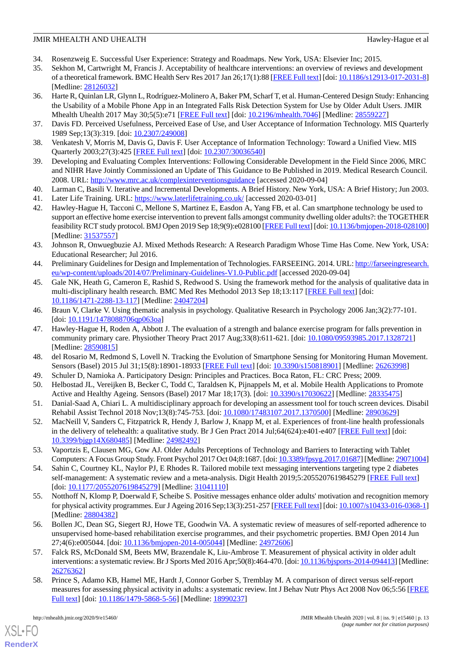- <span id="page-13-1"></span><span id="page-13-0"></span>34. Rosenzweig E. Successful User Experience: Strategy and Roadmaps. New York, USA: Elsevier Inc; 2015.
- 35. Sekhon M, Cartwright M, Francis J. Acceptability of healthcare interventions: an overview of reviews and development of a theoretical framework. BMC Health Serv Res 2017 Jan 26;17(1):88 [\[FREE Full text\]](https://bmchealthservres.biomedcentral.com/articles/10.1186/s12913-017-2031-8) [doi: [10.1186/s12913-017-2031-8\]](http://dx.doi.org/10.1186/s12913-017-2031-8) [Medline: [28126032](http://www.ncbi.nlm.nih.gov/entrez/query.fcgi?cmd=Retrieve&db=PubMed&list_uids=28126032&dopt=Abstract)]
- <span id="page-13-2"></span>36. Harte R, Quinlan LR, Glynn L, Rodríguez-Molinero A, Baker PM, Scharf T, et al. Human-Centered Design Study: Enhancing the Usability of a Mobile Phone App in an Integrated Falls Risk Detection System for Use by Older Adult Users. JMIR Mhealth Uhealth 2017 May 30;5(5):e71 [\[FREE Full text\]](https://mhealth.jmir.org/2017/5/e71/) [doi: [10.2196/mhealth.7046\]](http://dx.doi.org/10.2196/mhealth.7046) [Medline: [28559227\]](http://www.ncbi.nlm.nih.gov/entrez/query.fcgi?cmd=Retrieve&db=PubMed&list_uids=28559227&dopt=Abstract)
- <span id="page-13-4"></span><span id="page-13-3"></span>37. Davis FD. Perceived Usefulness, Perceived Ease of Use, and User Acceptance of Information Technology. MIS Quarterly 1989 Sep;13(3):319. [doi: [10.2307/249008\]](http://dx.doi.org/10.2307/249008)
- <span id="page-13-5"></span>38. Venkatesh V, Morris M, Davis G, Davis F. User Acceptance of Information Technology: Toward a Unified View. MIS Quarterly 2003;27(3):425 [\[FREE Full text\]](https://doi.org/10.2307%2F30036540) [doi: [10.2307/30036540](http://dx.doi.org/10.2307/30036540)]
- <span id="page-13-6"></span>39. Developing and Evaluating Complex Interventions: Following Considerable Development in the Field Since 2006, MRC and NIHR Have Jointly Commissioned an Update of This Guidance to Be Published in 2019. Medical Research Council. 2008. URL: <http://www.mrc.ac.uk/complexinterventionsguidance> [accessed 2020-09-04]
- <span id="page-13-8"></span><span id="page-13-7"></span>40. Larman C, Basili V. Iterative and Incremental Developments. A Brief History. New York, USA: A Brief History; Jun 2003.
- 41. Later Life Training. URL: <https://www.laterlifetraining.co.uk/> [accessed 2020-03-01]
- <span id="page-13-9"></span>42. Hawley-Hague H, Tacconi C, Mellone S, Martinez E, Easdon A, Yang FB, et al. Can smartphone technology be used to support an effective home exercise intervention to prevent falls amongst community dwelling older adults?: the TOGETHER feasibility RCT study protocol. BMJ Open 2019 Sep 18;9(9):e028100 [\[FREE Full text\]](http://bmjopen.bmj.com/cgi/pmidlookup?view=long&pmid=31537557) [doi: [10.1136/bmjopen-2018-028100\]](http://dx.doi.org/10.1136/bmjopen-2018-028100) [Medline: [31537557](http://www.ncbi.nlm.nih.gov/entrez/query.fcgi?cmd=Retrieve&db=PubMed&list_uids=31537557&dopt=Abstract)]
- <span id="page-13-11"></span><span id="page-13-10"></span>43. Johnson R, Onwuegbuzie AJ. Mixed Methods Research: A Research Paradigm Whose Time Has Come. New York, USA: Educational Researcher; Jul 2016.
- 44. Preliminary Guidelines for Design and Implementation of Technologies. FARSEEING. 2014. URL: [http://farseeingresearch.](http://farseeingresearch.eu/wp-content/uploads/2014/07/Preliminary-Guidelines-V1.0-Public.pdf) [eu/wp-content/uploads/2014/07/Preliminary-Guidelines-V1.0-Public.pdf](http://farseeingresearch.eu/wp-content/uploads/2014/07/Preliminary-Guidelines-V1.0-Public.pdf) [accessed 2020-09-04]
- <span id="page-13-12"></span>45. Gale NK, Heath G, Cameron E, Rashid S, Redwood S. Using the framework method for the analysis of qualitative data in multi-disciplinary health research. BMC Med Res Methodol 2013 Sep 18;13:117 [[FREE Full text](https://bmcmedresmethodol.biomedcentral.com/articles/10.1186/1471-2288-13-117)] [doi: [10.1186/1471-2288-13-117\]](http://dx.doi.org/10.1186/1471-2288-13-117) [Medline: [24047204\]](http://www.ncbi.nlm.nih.gov/entrez/query.fcgi?cmd=Retrieve&db=PubMed&list_uids=24047204&dopt=Abstract)
- <span id="page-13-13"></span>46. Braun V, Clarke V. Using thematic analysis in psychology. Qualitative Research in Psychology 2006 Jan;3(2):77-101. [doi: [10.1191/1478088706qp063oa\]](http://dx.doi.org/10.1191/1478088706qp063oa)
- <span id="page-13-15"></span><span id="page-13-14"></span>47. Hawley-Hague H, Roden A, Abbott J. The evaluation of a strength and balance exercise program for falls prevention in community primary care. Physiother Theory Pract 2017 Aug;33(8):611-621. [doi: [10.1080/09593985.2017.1328721\]](http://dx.doi.org/10.1080/09593985.2017.1328721) [Medline: [28590815](http://www.ncbi.nlm.nih.gov/entrez/query.fcgi?cmd=Retrieve&db=PubMed&list_uids=28590815&dopt=Abstract)]
- <span id="page-13-17"></span><span id="page-13-16"></span>48. del Rosario M, Redmond S, Lovell N. Tracking the Evolution of Smartphone Sensing for Monitoring Human Movement. Sensors (Basel) 2015 Jul 31;15(8):18901-18933 [[FREE Full text\]](https://www.mdpi.com/resolver?pii=s150818901) [doi: [10.3390/s150818901](http://dx.doi.org/10.3390/s150818901)] [Medline: [26263998](http://www.ncbi.nlm.nih.gov/entrez/query.fcgi?cmd=Retrieve&db=PubMed&list_uids=26263998&dopt=Abstract)]
- 49. Schuler D, Namioka A. Participatory Design: Principles and Practices. Boca Raton, FL: CRC Press; 2009.
- <span id="page-13-18"></span>50. Helbostad JL, Vereijken B, Becker C, Todd C, Taraldsen K, Pijnappels M, et al. Mobile Health Applications to Promote Active and Healthy Ageing. Sensors (Basel) 2017 Mar 18;17(3). [doi: [10.3390/s17030622](http://dx.doi.org/10.3390/s17030622)] [Medline: [28335475](http://www.ncbi.nlm.nih.gov/entrez/query.fcgi?cmd=Retrieve&db=PubMed&list_uids=28335475&dopt=Abstract)]
- <span id="page-13-19"></span>51. Danial-Saad A, Chiari L. A multidisciplinary approach for developing an assessment tool for touch screen devices. Disabil Rehabil Assist Technol 2018 Nov;13(8):745-753. [doi: [10.1080/17483107.2017.1370500](http://dx.doi.org/10.1080/17483107.2017.1370500)] [Medline: [28903629](http://www.ncbi.nlm.nih.gov/entrez/query.fcgi?cmd=Retrieve&db=PubMed&list_uids=28903629&dopt=Abstract)]
- <span id="page-13-20"></span>52. MacNeill V, Sanders C, Fitzpatrick R, Hendy J, Barlow J, Knapp M, et al. Experiences of front-line health professionals in the delivery of telehealth: a qualitative study. Br J Gen Pract 2014 Jul;64(624):e401-e407 [\[FREE Full text\]](https://bjgp.org/cgi/pmidlookup?view=long&pmid=24982492) [doi: [10.3399/bjgp14X680485\]](http://dx.doi.org/10.3399/bjgp14X680485) [Medline: [24982492\]](http://www.ncbi.nlm.nih.gov/entrez/query.fcgi?cmd=Retrieve&db=PubMed&list_uids=24982492&dopt=Abstract)
- <span id="page-13-21"></span>53. Vaportzis E, Clausen MG, Gow AJ. Older Adults Perceptions of Technology and Barriers to Interacting with Tablet Computers: A Focus Group Study. Front Psychol 2017 Oct 04;8:1687. [doi: [10.3389/fpsyg.2017.01687\]](http://dx.doi.org/10.3389/fpsyg.2017.01687) [Medline: [29071004\]](http://www.ncbi.nlm.nih.gov/entrez/query.fcgi?cmd=Retrieve&db=PubMed&list_uids=29071004&dopt=Abstract)
- <span id="page-13-22"></span>54. Sahin C, Courtney KL, Naylor PJ, E Rhodes R. Tailored mobile text messaging interventions targeting type 2 diabetes self-management: A systematic review and a meta-analysis. Digit Health 2019;5:2055207619845279 [[FREE Full text](https://journals.sagepub.com/doi/10.1177/2055207619845279?url_ver=Z39.88-2003&rfr_id=ori:rid:crossref.org&rfr_dat=cr_pub%3dpubmed)] [doi: [10.1177/2055207619845279](http://dx.doi.org/10.1177/2055207619845279)] [Medline: [31041110\]](http://www.ncbi.nlm.nih.gov/entrez/query.fcgi?cmd=Retrieve&db=PubMed&list_uids=31041110&dopt=Abstract)
- <span id="page-13-23"></span>55. Notthoff N, Klomp P, Doerwald F, Scheibe S. Positive messages enhance older adults' motivation and recognition memory for physical activity programmes. Eur J Ageing 2016 Sep;13(3):251-257 [\[FREE Full text\]](http://europepmc.org/abstract/MED/28804382) [doi: [10.1007/s10433-016-0368-1\]](http://dx.doi.org/10.1007/s10433-016-0368-1) [Medline: [28804382](http://www.ncbi.nlm.nih.gov/entrez/query.fcgi?cmd=Retrieve&db=PubMed&list_uids=28804382&dopt=Abstract)]
- <span id="page-13-24"></span>56. Bollen JC, Dean SG, Siegert RJ, Howe TE, Goodwin VA. A systematic review of measures of self-reported adherence to unsupervised home-based rehabilitation exercise programmes, and their psychometric properties. BMJ Open 2014 Jun 27;4(6):e005044. [doi: [10.1136/bmjopen-2014-005044](http://dx.doi.org/10.1136/bmjopen-2014-005044)] [Medline: [24972606](http://www.ncbi.nlm.nih.gov/entrez/query.fcgi?cmd=Retrieve&db=PubMed&list_uids=24972606&dopt=Abstract)]
- 57. Falck RS, McDonald SM, Beets MW, Brazendale K, Liu-Ambrose T. Measurement of physical activity in older adult interventions: a systematic review. Br J Sports Med 2016 Apr;50(8):464-470. [doi: [10.1136/bjsports-2014-094413\]](http://dx.doi.org/10.1136/bjsports-2014-094413) [Medline: [26276362](http://www.ncbi.nlm.nih.gov/entrez/query.fcgi?cmd=Retrieve&db=PubMed&list_uids=26276362&dopt=Abstract)]
- 58. Prince S, Adamo KB, Hamel ME, Hardt J, Connor Gorber S, Tremblay M. A comparison of direct versus self-report measures for assessing physical activity in adults: a systematic review. Int J Behav Nutr Phys Act 2008 Nov 06;5:56 [\[FREE](https://ijbnpa.biomedcentral.com/articles/10.1186/1479-5868-5-56) [Full text\]](https://ijbnpa.biomedcentral.com/articles/10.1186/1479-5868-5-56) [doi: [10.1186/1479-5868-5-56\]](http://dx.doi.org/10.1186/1479-5868-5-56) [Medline: [18990237](http://www.ncbi.nlm.nih.gov/entrez/query.fcgi?cmd=Retrieve&db=PubMed&list_uids=18990237&dopt=Abstract)]